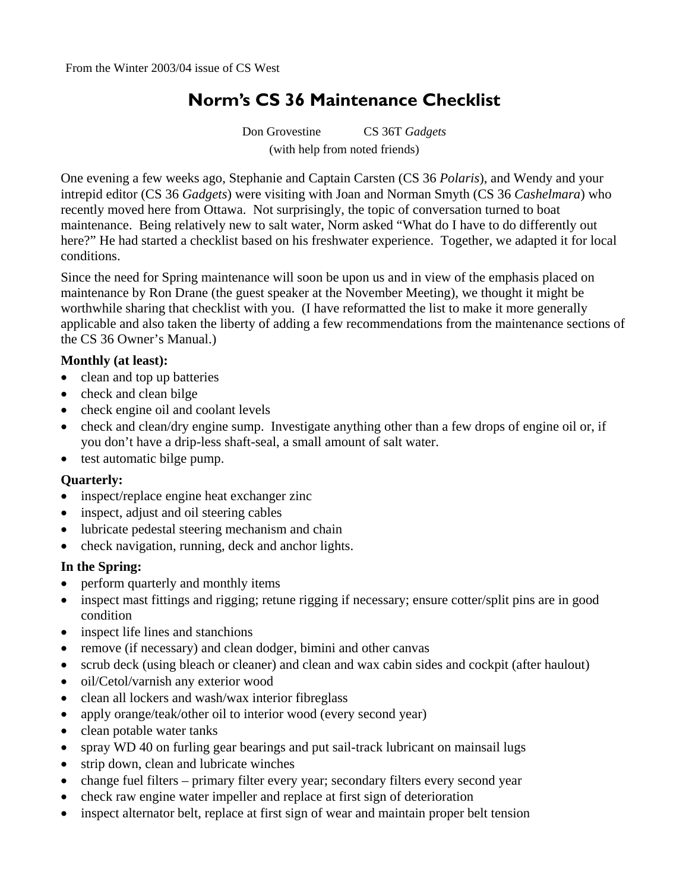# **Norm's CS 36 Maintenance Checklist**

Don Grovestine CS 36T *Gadgets*  (with help from noted friends)

One evening a few weeks ago, Stephanie and Captain Carsten (CS 36 *Polaris*), and Wendy and your intrepid editor (CS 36 *Gadgets*) were visiting with Joan and Norman Smyth (CS 36 *Cashelmara*) who recently moved here from Ottawa. Not surprisingly, the topic of conversation turned to boat maintenance. Being relatively new to salt water, Norm asked "What do I have to do differently out here?" He had started a checklist based on his freshwater experience. Together, we adapted it for local conditions.

Since the need for Spring maintenance will soon be upon us and in view of the emphasis placed on maintenance by Ron Drane (the guest speaker at the November Meeting), we thought it might be worthwhile sharing that checklist with you. (I have reformatted the list to make it more generally applicable and also taken the liberty of adding a few recommendations from the maintenance sections of the CS 36 Owner's Manual.)

#### **Monthly (at least):**

- clean and top up batteries
- check and clean bilge
- check engine oil and coolant levels
- check and clean/dry engine sump. Investigate anything other than a few drops of engine oil or, if you don't have a drip-less shaft-seal, a small amount of salt water.
- test automatic bilge pump.

#### **Quarterly:**

- inspect/replace engine heat exchanger zinc
- inspect, adjust and oil steering cables
- lubricate pedestal steering mechanism and chain
- check navigation, running, deck and anchor lights.

#### **In the Spring:**

- perform quarterly and monthly items
- inspect mast fittings and rigging; retune rigging if necessary; ensure cotter/split pins are in good condition
- inspect life lines and stanchions
- remove (if necessary) and clean dodger, bimini and other canvas
- scrub deck (using bleach or cleaner) and clean and wax cabin sides and cockpit (after haulout)
- oil/Cetol/varnish any exterior wood
- clean all lockers and wash/wax interior fibreglass
- apply orange/teak/other oil to interior wood (every second year)
- clean potable water tanks
- spray WD 40 on furling gear bearings and put sail-track lubricant on mainsail lugs
- strip down, clean and lubricate winches
- change fuel filters primary filter every year; secondary filters every second year
- check raw engine water impeller and replace at first sign of deterioration
- inspect alternator belt, replace at first sign of wear and maintain proper belt tension